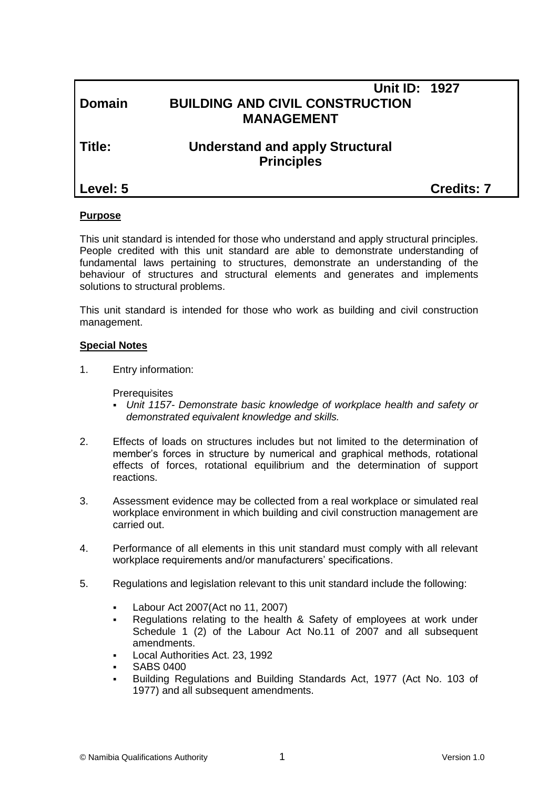| Domain   | <b>Unit ID: 1927</b><br><b>BUILDING AND CIVIL CONSTRUCTION</b><br><b>MANAGEMENT</b> |                   |
|----------|-------------------------------------------------------------------------------------|-------------------|
| Title:   | <b>Understand and apply Structural</b><br><b>Principles</b>                         |                   |
| Level: 5 |                                                                                     | <b>Credits: 7</b> |

### **Purpose**

This unit standard is intended for those who understand and apply structural principles. People credited with this unit standard are able to demonstrate understanding of fundamental laws pertaining to structures, demonstrate an understanding of the behaviour of structures and structural elements and generates and implements solutions to structural problems.

This unit standard is intended for those who work as building and civil construction management.

#### **Special Notes**

1. Entry information:

**Prerequisites** 

- *Unit 1157- Demonstrate basic knowledge of workplace health and safety or demonstrated equivalent knowledge and skills.*
- 2. Effects of loads on structures includes but not limited to the determination of member's forces in structure by numerical and graphical methods, rotational effects of forces, rotational equilibrium and the determination of support reactions.
- 3. Assessment evidence may be collected from a real workplace or simulated real workplace environment in which building and civil construction management are carried out.
- 4. Performance of all elements in this unit standard must comply with all relevant workplace requirements and/or manufacturers' specifications.
- 5. Regulations and legislation relevant to this unit standard include the following:
	- Labour Act 2007(Act no 11, 2007)
	- Regulations relating to the health & Safety of employees at work under Schedule 1 (2) of the Labour Act No.11 of 2007 and all subsequent amendments.
	- Local Authorities Act. 23, 1992
	- SABS 0400
	- Building Regulations and Building Standards Act, 1977 (Act No. 103 of 1977) and all subsequent amendments.